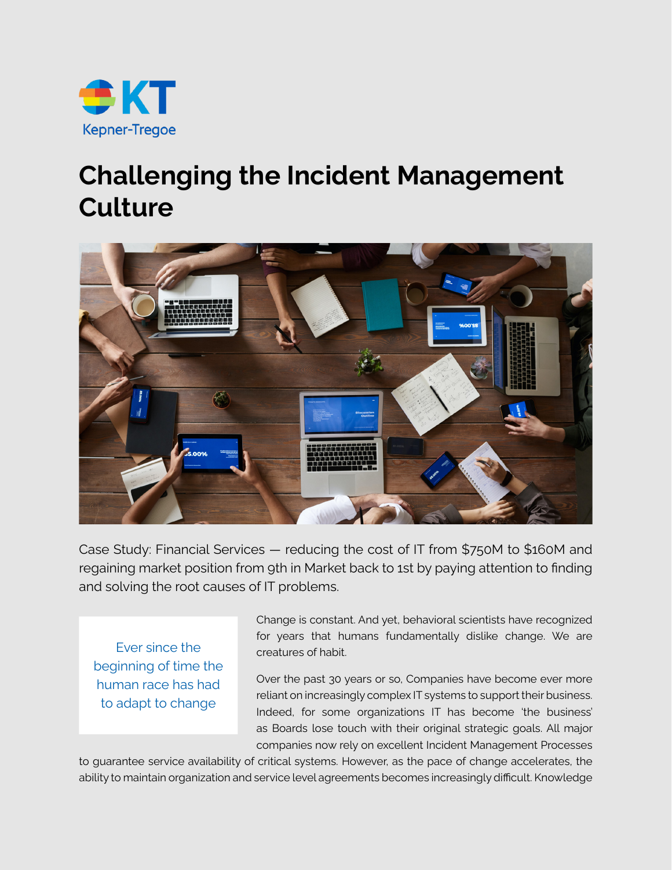

## **Challenging the Incident Management Culture**



Case Study: Financial Services — reducing the cost of IT from \$750M to \$160M and regaining market position from 9th in Market back to 1st by paying attention to finding and solving the root causes of IT problems.

Ever since the beginning of time the human race has had to adapt to change

Change is constant. And yet, behavioral scientists have recognized for years that humans fundamentally dislike change. We are creatures of habit.

Over the past 30 years or so, Companies have become ever more reliant on increasingly complex IT systems to support their business. Indeed, for some organizations IT has become 'the business' as Boards lose touch with their original strategic goals. All major companies now rely on excellent Incident Management Processes

to guarantee service availability of critical systems. However, as the pace of change accelerates, the ability to maintain organization and service level agreements becomes increasingly difficult. Knowledge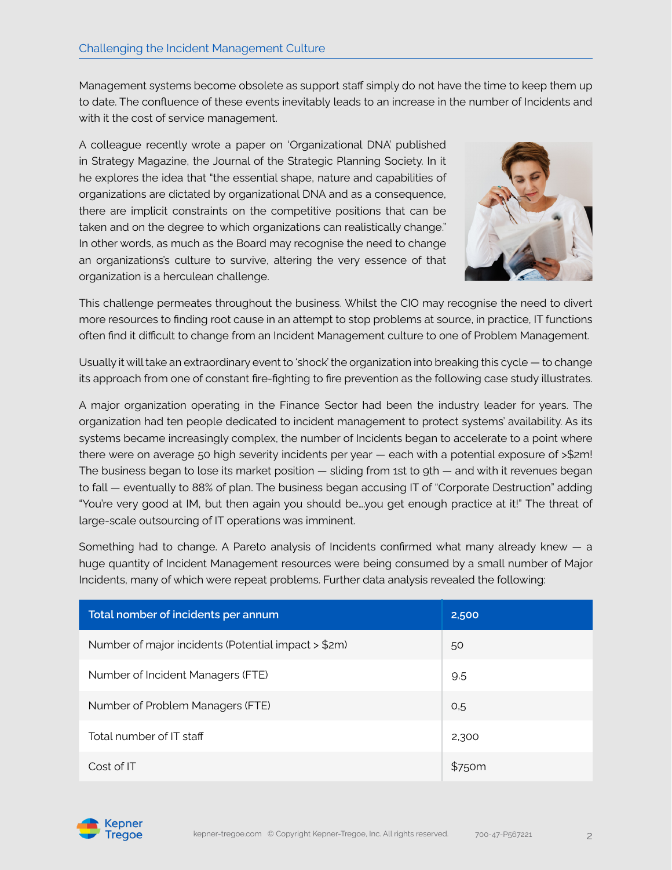Management systems become obsolete as support staff simply do not have the time to keep them up to date. The confluence of these events inevitably leads to an increase in the number of Incidents and with it the cost of service management.

A colleague recently wrote a paper on 'Organizational DNA' published in Strategy Magazine, the Journal of the Strategic Planning Society. In it he explores the idea that "the essential shape, nature and capabilities of organizations are dictated by organizational DNA and as a consequence, there are implicit constraints on the competitive positions that can be taken and on the degree to which organizations can realistically change." In other words, as much as the Board may recognise the need to change an organizations's culture to survive, altering the very essence of that organization is a herculean challenge.



This challenge permeates throughout the business. Whilst the CIO may recognise the need to divert more resources to finding root cause in an attempt to stop problems at source, in practice, IT functions often find it difficult to change from an Incident Management culture to one of Problem Management.

Usually it will take an extraordinary event to 'shock' the organization into breaking this cycle — to change its approach from one of constant fire-fighting to fire prevention as the following case study illustrates.

A major organization operating in the Finance Sector had been the industry leader for years. The organization had ten people dedicated to incident management to protect systems' availability. As its systems became increasingly complex, the number of Incidents began to accelerate to a point where there were on average 50 high severity incidents per year — each with a potential exposure of >\$2m! The business began to lose its market position — sliding from 1st to 9th — and with it revenues began to fall — eventually to 88% of plan. The business began accusing IT of "Corporate Destruction" adding "You're very good at IM, but then again you should be….you get enough practice at it!" The threat of large-scale outsourcing of IT operations was imminent.

Something had to change. A Pareto analysis of Incidents confirmed what many already knew — a huge quantity of Incident Management resources were being consumed by a small number of Major Incidents, many of which were repeat problems. Further data analysis revealed the following:

| Total nomber of incidents per annum                 | 2,500  |
|-----------------------------------------------------|--------|
| Number of major incidents (Potential impact > \$2m) | 50     |
| Number of Incident Managers (FTE)                   | 9.5    |
| Number of Problem Managers (FTE)                    | O,5    |
| Total number of IT staff                            | 2,300  |
| Cost of IT                                          | \$750m |